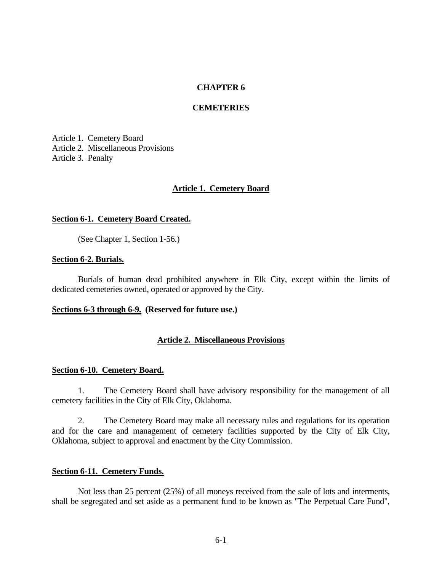# **CHAPTER 6**

### **CEMETERIES**

Article 1. Cemetery Board Article 2. Miscellaneous Provisions Article 3. Penalty

#### **Article 1. Cemetery Board**

#### **Section 6-1. Cemetery Board Created.**

(See Chapter 1, Section 1-56.)

### **Section 6-2. Burials.**

Burials of human dead prohibited anywhere in Elk City, except within the limits of dedicated cemeteries owned, operated or approved by the City.

# **Sections 6-3 through 6-9. (Reserved for future use.)**

### **Article 2. Miscellaneous Provisions**

# **Section 6-10. Cemetery Board.**

1. The Cemetery Board shall have advisory responsibility for the management of all cemetery facilities in the City of Elk City, Oklahoma.

2. The Cemetery Board may make all necessary rules and regulations for its operation and for the care and management of cemetery facilities supported by the City of Elk City, Oklahoma, subject to approval and enactment by the City Commission.

### **Section 6-11. Cemetery Funds.**

Not less than 25 percent (25%) of all moneys received from the sale of lots and interments, shall be segregated and set aside as a permanent fund to be known as "The Perpetual Care Fund",